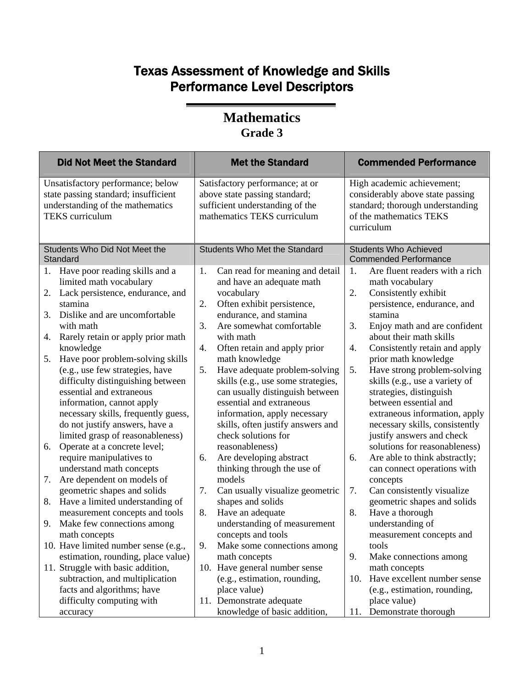| <b>Did Not Meet the Standard</b>                                                                                                                                                                                                                                                                                                                                                                                                                                                                                                                                                                                                                                                                                                                                                                                                                                                                                                                                                                                                        | <b>Met the Standard</b>                                                                                                                                                                                                                                                                                                                                                                                                                                                                                                                                                                                                                                                                                                                                                                                                                                                                                     | <b>Commended Performance</b>                                                                                                                                                                                                                                                                                                                                                                                                                                                                                                                                                                                                                                                                                                                                                                                                                                                              |
|-----------------------------------------------------------------------------------------------------------------------------------------------------------------------------------------------------------------------------------------------------------------------------------------------------------------------------------------------------------------------------------------------------------------------------------------------------------------------------------------------------------------------------------------------------------------------------------------------------------------------------------------------------------------------------------------------------------------------------------------------------------------------------------------------------------------------------------------------------------------------------------------------------------------------------------------------------------------------------------------------------------------------------------------|-------------------------------------------------------------------------------------------------------------------------------------------------------------------------------------------------------------------------------------------------------------------------------------------------------------------------------------------------------------------------------------------------------------------------------------------------------------------------------------------------------------------------------------------------------------------------------------------------------------------------------------------------------------------------------------------------------------------------------------------------------------------------------------------------------------------------------------------------------------------------------------------------------------|-------------------------------------------------------------------------------------------------------------------------------------------------------------------------------------------------------------------------------------------------------------------------------------------------------------------------------------------------------------------------------------------------------------------------------------------------------------------------------------------------------------------------------------------------------------------------------------------------------------------------------------------------------------------------------------------------------------------------------------------------------------------------------------------------------------------------------------------------------------------------------------------|
| Unsatisfactory performance; below<br>state passing standard; insufficient<br>understanding of the mathematics<br><b>TEKS</b> curriculum                                                                                                                                                                                                                                                                                                                                                                                                                                                                                                                                                                                                                                                                                                                                                                                                                                                                                                 | Satisfactory performance; at or<br>above state passing standard;<br>sufficient understanding of the<br>mathematics TEKS curriculum                                                                                                                                                                                                                                                                                                                                                                                                                                                                                                                                                                                                                                                                                                                                                                          | High academic achievement;<br>considerably above state passing<br>standard; thorough understanding<br>of the mathematics TEKS<br>curriculum                                                                                                                                                                                                                                                                                                                                                                                                                                                                                                                                                                                                                                                                                                                                               |
| Students Who Did Not Meet the<br>Standard                                                                                                                                                                                                                                                                                                                                                                                                                                                                                                                                                                                                                                                                                                                                                                                                                                                                                                                                                                                               | <b>Students Who Met the Standard</b>                                                                                                                                                                                                                                                                                                                                                                                                                                                                                                                                                                                                                                                                                                                                                                                                                                                                        | <b>Students Who Achieved</b><br><b>Commended Performance</b>                                                                                                                                                                                                                                                                                                                                                                                                                                                                                                                                                                                                                                                                                                                                                                                                                              |
| 1. Have poor reading skills and a<br>limited math vocabulary<br>Lack persistence, endurance, and<br>2.<br>stamina<br>Dislike and are uncomfortable<br>3.<br>with math<br>Rarely retain or apply prior math<br>4.<br>knowledge<br>Have poor problem-solving skills<br>5.<br>(e.g., use few strategies, have<br>difficulty distinguishing between<br>essential and extraneous<br>information, cannot apply<br>necessary skills, frequently guess,<br>do not justify answers, have a<br>limited grasp of reasonableness)<br>Operate at a concrete level;<br>6.<br>require manipulatives to<br>understand math concepts<br>Are dependent on models of<br>7.<br>geometric shapes and solids<br>Have a limited understanding of<br>8.<br>measurement concepts and tools<br>Make few connections among<br>9.<br>math concepts<br>10. Have limited number sense (e.g.,<br>estimation, rounding, place value)<br>11. Struggle with basic addition,<br>subtraction, and multiplication<br>facts and algorithms; have<br>difficulty computing with | Can read for meaning and detail<br>1.<br>and have an adequate math<br>vocabulary<br>2.<br>Often exhibit persistence,<br>endurance, and stamina<br>3.<br>Are somewhat comfortable<br>with math<br>Often retain and apply prior<br>4.<br>math knowledge<br>5.<br>Have adequate problem-solving<br>skills (e.g., use some strategies,<br>can usually distinguish between<br>essential and extraneous<br>information, apply necessary<br>skills, often justify answers and<br>check solutions for<br>reasonableness)<br>Are developing abstract<br>6.<br>thinking through the use of<br>models<br>7.<br>Can usually visualize geometric<br>shapes and solids<br>8.<br>Have an adequate<br>understanding of measurement<br>concepts and tools<br>9.<br>Make some connections among<br>math concepts<br>10. Have general number sense<br>(e.g., estimation, rounding,<br>place value)<br>11. Demonstrate adequate | Are fluent readers with a rich<br>1.<br>math vocabulary<br>2.<br>Consistently exhibit<br>persistence, endurance, and<br>stamina<br>3.<br>Enjoy math and are confident<br>about their math skills<br>Consistently retain and apply<br>4.<br>prior math knowledge<br>Have strong problem-solving<br>5.<br>skills (e.g., use a variety of<br>strategies, distinguish<br>between essential and<br>extraneous information, apply<br>necessary skills, consistently<br>justify answers and check<br>solutions for reasonableness)<br>Are able to think abstractly;<br>6.<br>can connect operations with<br>concepts<br>7.<br>Can consistently visualize<br>geometric shapes and solids<br>8.<br>Have a thorough<br>understanding of<br>measurement concepts and<br>tools<br>9.<br>Make connections among<br>math concepts<br>Have excellent number sense<br>10.<br>(e.g., estimation, rounding, |
| accuracy                                                                                                                                                                                                                                                                                                                                                                                                                                                                                                                                                                                                                                                                                                                                                                                                                                                                                                                                                                                                                                | knowledge of basic addition,                                                                                                                                                                                                                                                                                                                                                                                                                                                                                                                                                                                                                                                                                                                                                                                                                                                                                | place value)<br>Demonstrate thorough<br>11.                                                                                                                                                                                                                                                                                                                                                                                                                                                                                                                                                                                                                                                                                                                                                                                                                                               |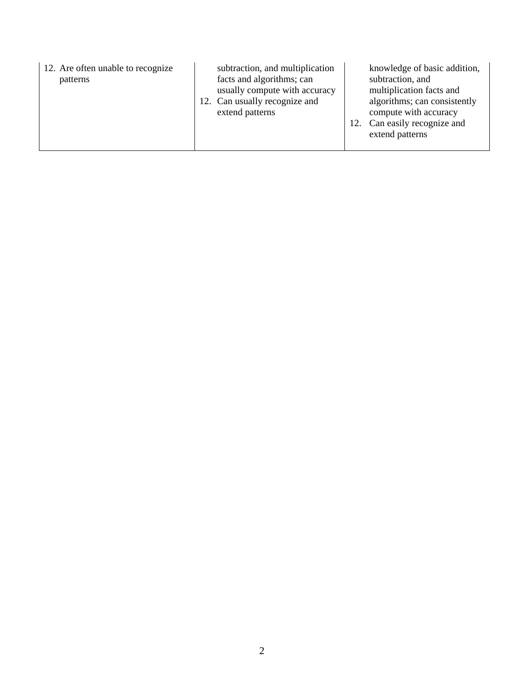| 12. Are often unable to recognize<br>patterns | subtraction, and multiplication<br>facts and algorithms; can<br>usually compute with accuracy<br>12. Can usually recognize and<br>extend patterns | knowledge of basic addition,<br>subtraction, and<br>multiplication facts and<br>algorithms; can consistently<br>compute with accuracy<br>12. Can easily recognize and<br>extend patterns |
|-----------------------------------------------|---------------------------------------------------------------------------------------------------------------------------------------------------|------------------------------------------------------------------------------------------------------------------------------------------------------------------------------------------|
|-----------------------------------------------|---------------------------------------------------------------------------------------------------------------------------------------------------|------------------------------------------------------------------------------------------------------------------------------------------------------------------------------------------|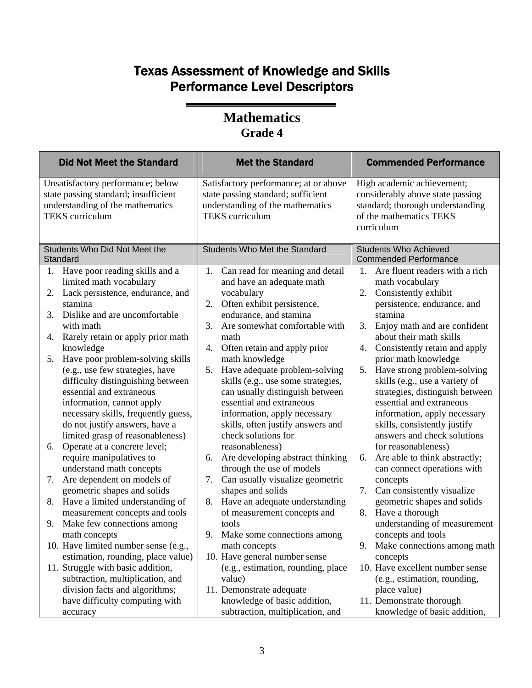| <b>Did Not Meet the Standard</b>                                                                                                                                                                                                                                                                                                                                                                                                                                                                                                                                                                                                                                                                                                                                                                                                                                                                                                                                                                                   | <b>Met the Standard</b>                                                                                                                                                                                                                                                                                                                                                                                                                                                                                                                                                                                                                                                                                                                                                                                                                                                                                  | <b>Commended Performance</b>                                                                                                                                                                                                                                                                                                                                                                                                                                                                                                                                                                                                                                                                                                                                                                                                                                                                     |
|--------------------------------------------------------------------------------------------------------------------------------------------------------------------------------------------------------------------------------------------------------------------------------------------------------------------------------------------------------------------------------------------------------------------------------------------------------------------------------------------------------------------------------------------------------------------------------------------------------------------------------------------------------------------------------------------------------------------------------------------------------------------------------------------------------------------------------------------------------------------------------------------------------------------------------------------------------------------------------------------------------------------|----------------------------------------------------------------------------------------------------------------------------------------------------------------------------------------------------------------------------------------------------------------------------------------------------------------------------------------------------------------------------------------------------------------------------------------------------------------------------------------------------------------------------------------------------------------------------------------------------------------------------------------------------------------------------------------------------------------------------------------------------------------------------------------------------------------------------------------------------------------------------------------------------------|--------------------------------------------------------------------------------------------------------------------------------------------------------------------------------------------------------------------------------------------------------------------------------------------------------------------------------------------------------------------------------------------------------------------------------------------------------------------------------------------------------------------------------------------------------------------------------------------------------------------------------------------------------------------------------------------------------------------------------------------------------------------------------------------------------------------------------------------------------------------------------------------------|
| Unsatisfactory performance; below<br>state passing standard; insufficient<br>understanding of the mathematics<br><b>TEKS</b> curriculum                                                                                                                                                                                                                                                                                                                                                                                                                                                                                                                                                                                                                                                                                                                                                                                                                                                                            | Satisfactory performance; at or above<br>state passing standard; sufficient<br>understanding of the mathematics<br><b>TEKS</b> curriculum                                                                                                                                                                                                                                                                                                                                                                                                                                                                                                                                                                                                                                                                                                                                                                | High academic achievement;<br>considerably above state passing<br>standard; thorough understanding<br>of the mathematics TEKS<br>curriculum                                                                                                                                                                                                                                                                                                                                                                                                                                                                                                                                                                                                                                                                                                                                                      |
| Students Who Did Not Meet the<br>Standard                                                                                                                                                                                                                                                                                                                                                                                                                                                                                                                                                                                                                                                                                                                                                                                                                                                                                                                                                                          | <b>Students Who Met the Standard</b>                                                                                                                                                                                                                                                                                                                                                                                                                                                                                                                                                                                                                                                                                                                                                                                                                                                                     | <b>Students Who Achieved</b><br><b>Commended Performance</b>                                                                                                                                                                                                                                                                                                                                                                                                                                                                                                                                                                                                                                                                                                                                                                                                                                     |
| Have poor reading skills and a<br>1.<br>limited math vocabulary<br>Lack persistence, endurance, and<br>2.<br>stamina<br>Dislike and are uncomfortable<br>3.<br>with math<br>Rarely retain or apply prior math<br>4.<br>knowledge<br>Have poor problem-solving skills<br>5.<br>(e.g., use few strategies, have<br>difficulty distinguishing between<br>essential and extraneous<br>information, cannot apply<br>necessary skills, frequently guess,<br>do not justify answers, have a<br>limited grasp of reasonableness)<br>Operate at a concrete level;<br>6.<br>require manipulatives to<br>understand math concepts<br>Are dependent on models of<br>7.<br>geometric shapes and solids<br>Have a limited understanding of<br>8.<br>measurement concepts and tools<br>Make few connections among<br>9.<br>math concepts<br>10. Have limited number sense (e.g.,<br>estimation, rounding, place value)<br>11. Struggle with basic addition,<br>subtraction, multiplication, and<br>division facts and algorithms; | Can read for meaning and detail<br>1.<br>and have an adequate math<br>vocabulary<br>Often exhibit persistence,<br>2.<br>endurance, and stamina<br>3.<br>Are somewhat comfortable with<br>math<br>4.<br>Often retain and apply prior<br>math knowledge<br>Have adequate problem-solving<br>5.<br>skills (e.g., use some strategies,<br>can usually distinguish between<br>essential and extraneous<br>information, apply necessary<br>skills, often justify answers and<br>check solutions for<br>reasonableness)<br>Are developing abstract thinking<br>6.<br>through the use of models<br>7.<br>Can usually visualize geometric<br>shapes and solids<br>Have an adequate understanding<br>8.<br>of measurement concepts and<br>tools<br>9.<br>Make some connections among<br>math concepts<br>10. Have general number sense<br>(e.g., estimation, rounding, place<br>value)<br>11. Demonstrate adequate | Are fluent readers with a rich<br>1.<br>math vocabulary<br>Consistently exhibit<br>2.<br>persistence, endurance, and<br>stamina<br>3.<br>Enjoy math and are confident<br>about their math skills<br>Consistently retain and apply<br>4.<br>prior math knowledge<br>Have strong problem-solving<br>5.<br>skills (e.g., use a variety of<br>strategies, distinguish between<br>essential and extraneous<br>information, apply necessary<br>skills, consistently justify<br>answers and check solutions<br>for reasonableness)<br>Are able to think abstractly;<br>6.<br>can connect operations with<br>concepts<br>7.<br>Can consistently visualize<br>geometric shapes and solids<br>Have a thorough<br>8.<br>understanding of measurement<br>concepts and tools<br>9. Make connections among math<br>concepts<br>10. Have excellent number sense<br>(e.g., estimation, rounding,<br>place value) |
| have difficulty computing with<br>accuracy                                                                                                                                                                                                                                                                                                                                                                                                                                                                                                                                                                                                                                                                                                                                                                                                                                                                                                                                                                         | knowledge of basic addition,<br>subtraction, multiplication, and                                                                                                                                                                                                                                                                                                                                                                                                                                                                                                                                                                                                                                                                                                                                                                                                                                         | 11. Demonstrate thorough<br>knowledge of basic addition,                                                                                                                                                                                                                                                                                                                                                                                                                                                                                                                                                                                                                                                                                                                                                                                                                                         |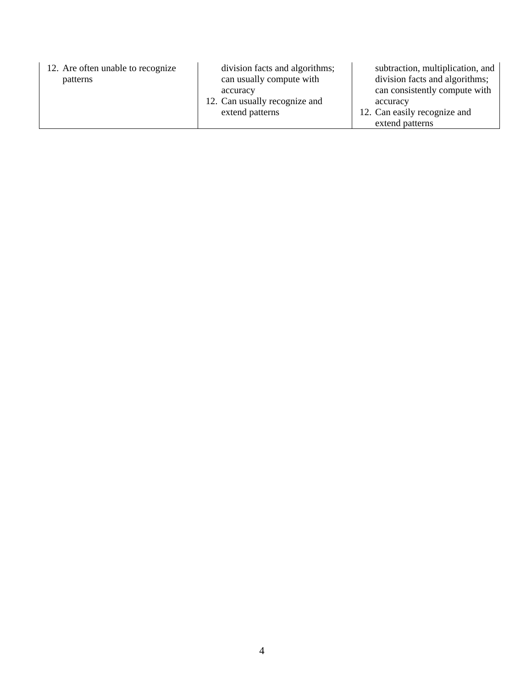| 12. Are often unable to recognize<br>patterns | division facts and algorithms;<br>can usually compute with   | subtraction, multiplication, and<br>division facts and algorithms;        |
|-----------------------------------------------|--------------------------------------------------------------|---------------------------------------------------------------------------|
|                                               | accuracy<br>12. Can usually recognize and<br>extend patterns | can consistently compute with<br>accuracy<br>12. Can easily recognize and |
|                                               |                                                              | extend patterns                                                           |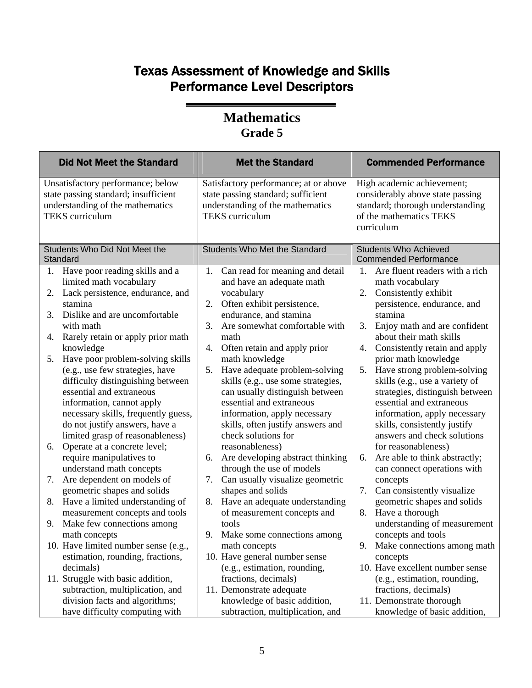| <b>Did Not Meet the Standard</b>                                                                                                        | <b>Met the Standard</b>                                                                                                                   | <b>Commended Performance</b>                                                                                                                |
|-----------------------------------------------------------------------------------------------------------------------------------------|-------------------------------------------------------------------------------------------------------------------------------------------|---------------------------------------------------------------------------------------------------------------------------------------------|
| Unsatisfactory performance; below<br>state passing standard; insufficient<br>understanding of the mathematics<br><b>TEKS</b> curriculum | Satisfactory performance; at or above<br>state passing standard; sufficient<br>understanding of the mathematics<br><b>TEKS</b> curriculum | High academic achievement;<br>considerably above state passing<br>standard; thorough understanding<br>of the mathematics TEKS<br>curriculum |
| Students Who Did Not Meet the<br>Standard                                                                                               | <b>Students Who Met the Standard</b>                                                                                                      | <b>Students Who Achieved</b><br><b>Commended Performance</b>                                                                                |
| Have poor reading skills and a<br>1.<br>limited math vocabulary<br>Lack persistence, endurance, and<br>2.                               | Can read for meaning and detail<br>1.<br>and have an adequate math<br>vocabulary                                                          | Are fluent readers with a rich<br>1.<br>math vocabulary<br>Consistently exhibit<br>2.                                                       |
| stamina<br>Dislike and are uncomfortable<br>3.<br>with math                                                                             | Often exhibit persistence,<br>2.<br>endurance, and stamina<br>Are somewhat comfortable with<br>3.                                         | persistence, endurance, and<br>stamina<br>3.<br>Enjoy math and are confident                                                                |
| Rarely retain or apply prior math                                                                                                       | math                                                                                                                                      | about their math skills                                                                                                                     |
| 4.                                                                                                                                      | Often retain and apply prior                                                                                                              | Consistently retain and apply                                                                                                               |
| knowledge                                                                                                                               | 4.                                                                                                                                        | 4.                                                                                                                                          |
| Have poor problem-solving skills                                                                                                        | math knowledge                                                                                                                            | prior math knowledge                                                                                                                        |
| 5.                                                                                                                                      | Have adequate problem-solving                                                                                                             | Have strong problem-solving                                                                                                                 |
| (e.g., use few strategies, have                                                                                                         | 5.                                                                                                                                        | 5.                                                                                                                                          |
| difficulty distinguishing between                                                                                                       | skills (e.g., use some strategies,                                                                                                        | skills (e.g., use a variety of                                                                                                              |
| essential and extraneous                                                                                                                | can usually distinguish between                                                                                                           | strategies, distinguish between                                                                                                             |
| information, cannot apply                                                                                                               | essential and extraneous                                                                                                                  | essential and extraneous                                                                                                                    |
| necessary skills, frequently guess,                                                                                                     | information, apply necessary                                                                                                              | information, apply necessary                                                                                                                |
| do not justify answers, have a                                                                                                          | skills, often justify answers and                                                                                                         | skills, consistently justify                                                                                                                |
| limited grasp of reasonableness)                                                                                                        | check solutions for                                                                                                                       | answers and check solutions                                                                                                                 |
| Operate at a concrete level;                                                                                                            | reasonableness)                                                                                                                           | for reasonableness)                                                                                                                         |
| 6.                                                                                                                                      | Are developing abstract thinking                                                                                                          | Are able to think abstractly;                                                                                                               |
| require manipulatives to                                                                                                                | 6.                                                                                                                                        | 6.                                                                                                                                          |
| understand math concepts                                                                                                                | through the use of models                                                                                                                 | can connect operations with                                                                                                                 |
| Are dependent on models of                                                                                                              | Can usually visualize geometric                                                                                                           | concepts                                                                                                                                    |
| 7.                                                                                                                                      | 7.                                                                                                                                        | 7.                                                                                                                                          |
| geometric shapes and solids                                                                                                             | shapes and solids                                                                                                                         | Can consistently visualize                                                                                                                  |
| Have a limited understanding of                                                                                                         | Have an adequate understanding                                                                                                            | geometric shapes and solids                                                                                                                 |
| 8.                                                                                                                                      | 8.                                                                                                                                        | Have a thorough                                                                                                                             |
| measurement concepts and tools                                                                                                          | of measurement concepts and                                                                                                               | 8.                                                                                                                                          |
| Make few connections among<br>9.<br>math concepts                                                                                       | tools<br>9. Make some connections among                                                                                                   | understanding of measurement<br>concepts and tools                                                                                          |
| 10. Have limited number sense (e.g.,                                                                                                    | math concepts                                                                                                                             | 9. Make connections among math                                                                                                              |
| estimation, rounding, fractions,                                                                                                        | 10. Have general number sense                                                                                                             | concepts                                                                                                                                    |
| decimals)                                                                                                                               | (e.g., estimation, rounding,                                                                                                              | 10. Have excellent number sense                                                                                                             |
| 11. Struggle with basic addition,                                                                                                       | fractions, decimals)                                                                                                                      | (e.g., estimation, rounding,                                                                                                                |
| subtraction, multiplication, and                                                                                                        | 11. Demonstrate adequate                                                                                                                  | fractions, decimals)                                                                                                                        |
| division facts and algorithms;                                                                                                          | knowledge of basic addition,                                                                                                              | 11. Demonstrate thorough                                                                                                                    |
| have difficulty computing with                                                                                                          | subtraction, multiplication, and                                                                                                          | knowledge of basic addition,                                                                                                                |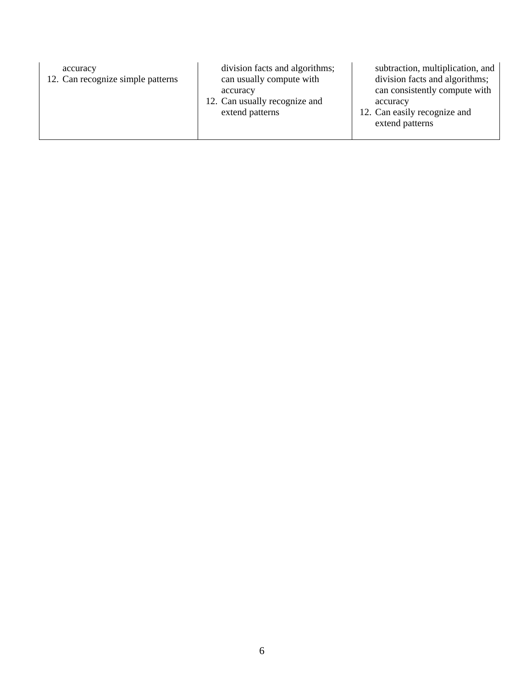| division facts and algorithms;<br>accuracy<br>12. Can recognize simple patterns<br>can usually compute with<br>accuracy<br>12. Can usually recognize and<br>accuracy<br>12. Can easily recognize and<br>extend patterns<br>extend patterns | subtraction, multiplication, and<br>division facts and algorithms;<br>can consistently compute with |
|--------------------------------------------------------------------------------------------------------------------------------------------------------------------------------------------------------------------------------------------|-----------------------------------------------------------------------------------------------------|
|--------------------------------------------------------------------------------------------------------------------------------------------------------------------------------------------------------------------------------------------|-----------------------------------------------------------------------------------------------------|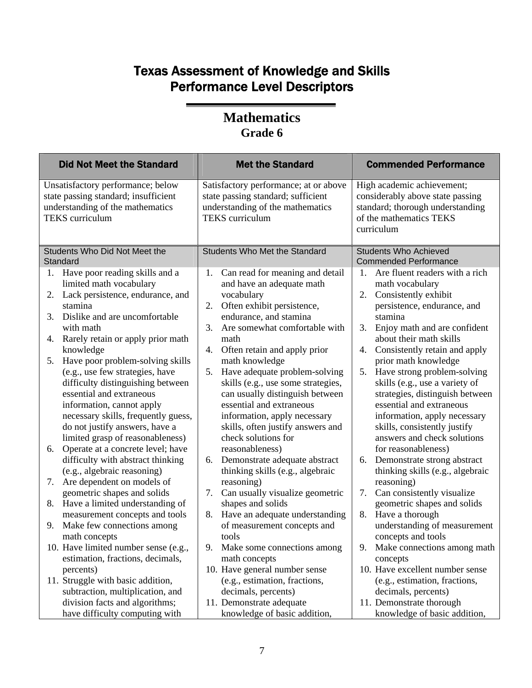|                                         | <b>Did Not Meet the Standard</b>                                                                                                                                                                                                                                                                                                                                                                                                                                                                                                                        |                      | <b>Met the Standard</b>                                                                                                                                                                                                                                                                                                                                                                                                                                                                                            |                            | <b>Commended Performance</b>                                                                                                                                                                                                                                                                                                                                                                                                                                                                                 |
|-----------------------------------------|---------------------------------------------------------------------------------------------------------------------------------------------------------------------------------------------------------------------------------------------------------------------------------------------------------------------------------------------------------------------------------------------------------------------------------------------------------------------------------------------------------------------------------------------------------|----------------------|--------------------------------------------------------------------------------------------------------------------------------------------------------------------------------------------------------------------------------------------------------------------------------------------------------------------------------------------------------------------------------------------------------------------------------------------------------------------------------------------------------------------|----------------------------|--------------------------------------------------------------------------------------------------------------------------------------------------------------------------------------------------------------------------------------------------------------------------------------------------------------------------------------------------------------------------------------------------------------------------------------------------------------------------------------------------------------|
| <b>TEKS</b> curriculum                  | Unsatisfactory performance; below<br>state passing standard; insufficient<br>understanding of the mathematics                                                                                                                                                                                                                                                                                                                                                                                                                                           |                      | Satisfactory performance; at or above<br>state passing standard; sufficient<br>understanding of the mathematics<br><b>TEKS</b> curriculum                                                                                                                                                                                                                                                                                                                                                                          |                            | High academic achievement;<br>considerably above state passing<br>standard; thorough understanding<br>of the mathematics TEKS<br>curriculum                                                                                                                                                                                                                                                                                                                                                                  |
| Standard                                | Students Who Did Not Meet the                                                                                                                                                                                                                                                                                                                                                                                                                                                                                                                           |                      | <b>Students Who Met the Standard</b>                                                                                                                                                                                                                                                                                                                                                                                                                                                                               |                            | <b>Students Who Achieved</b><br><b>Commended Performance</b>                                                                                                                                                                                                                                                                                                                                                                                                                                                 |
| 1.                                      | Have poor reading skills and a<br>limited math vocabulary                                                                                                                                                                                                                                                                                                                                                                                                                                                                                               | 1.                   | Can read for meaning and detail<br>and have an adequate math                                                                                                                                                                                                                                                                                                                                                                                                                                                       | 1.                         | Are fluent readers with a rich<br>math vocabulary                                                                                                                                                                                                                                                                                                                                                                                                                                                            |
| 2.<br>stamina                           | Lack persistence, endurance, and                                                                                                                                                                                                                                                                                                                                                                                                                                                                                                                        | 2.                   | vocabulary<br>Often exhibit persistence,                                                                                                                                                                                                                                                                                                                                                                                                                                                                           | 2.                         | Consistently exhibit<br>persistence, endurance, and                                                                                                                                                                                                                                                                                                                                                                                                                                                          |
| 3.<br>with math                         | Dislike and are uncomfortable                                                                                                                                                                                                                                                                                                                                                                                                                                                                                                                           | 3.                   | endurance, and stamina<br>Are somewhat comfortable with                                                                                                                                                                                                                                                                                                                                                                                                                                                            | 3.                         | stamina<br>Enjoy math and are confident                                                                                                                                                                                                                                                                                                                                                                                                                                                                      |
| 4.                                      | Rarely retain or apply prior math                                                                                                                                                                                                                                                                                                                                                                                                                                                                                                                       |                      | math                                                                                                                                                                                                                                                                                                                                                                                                                                                                                                               |                            | about their math skills                                                                                                                                                                                                                                                                                                                                                                                                                                                                                      |
| knowledge<br>5.<br>6.<br>7.<br>8.<br>9. | Have poor problem-solving skills<br>(e.g., use few strategies, have<br>difficulty distinguishing between<br>essential and extraneous<br>information, cannot apply<br>necessary skills, frequently guess,<br>do not justify answers, have a<br>limited grasp of reasonableness)<br>Operate at a concrete level; have<br>difficulty with abstract thinking<br>(e.g., algebraic reasoning)<br>Are dependent on models of<br>geometric shapes and solids<br>Have a limited understanding of<br>measurement concepts and tools<br>Make few connections among | 5.<br>6.<br>7.<br>8. | 4. Often retain and apply prior<br>math knowledge<br>Have adequate problem-solving<br>skills (e.g., use some strategies,<br>can usually distinguish between<br>essential and extraneous<br>information, apply necessary<br>skills, often justify answers and<br>check solutions for<br>reasonableness)<br>Demonstrate adequate abstract<br>thinking skills (e.g., algebraic<br>reasoning)<br>Can usually visualize geometric<br>shapes and solids<br>Have an adequate understanding<br>of measurement concepts and | 4.<br>5.<br>6.<br>7.<br>8. | Consistently retain and apply<br>prior math knowledge<br>Have strong problem-solving<br>skills (e.g., use a variety of<br>strategies, distinguish between<br>essential and extraneous<br>information, apply necessary<br>skills, consistently justify<br>answers and check solutions<br>for reasonableness)<br>Demonstrate strong abstract<br>thinking skills (e.g., algebraic<br>reasoning)<br>Can consistently visualize<br>geometric shapes and solids<br>Have a thorough<br>understanding of measurement |
| math concepts                           | 10. Have limited number sense (e.g.,<br>estimation, fractions, decimals,                                                                                                                                                                                                                                                                                                                                                                                                                                                                                |                      | tools<br>9. Make some connections among<br>math concepts                                                                                                                                                                                                                                                                                                                                                                                                                                                           |                            | concepts and tools<br>9. Make connections among math<br>concepts                                                                                                                                                                                                                                                                                                                                                                                                                                             |
| percents)                               | 11. Struggle with basic addition,<br>subtraction, multiplication, and<br>division facts and algorithms;<br>have difficulty computing with                                                                                                                                                                                                                                                                                                                                                                                                               |                      | 10. Have general number sense<br>(e.g., estimation, fractions,<br>decimals, percents)<br>11. Demonstrate adequate<br>knowledge of basic addition,                                                                                                                                                                                                                                                                                                                                                                  |                            | 10. Have excellent number sense<br>(e.g., estimation, fractions,<br>decimals, percents)<br>11. Demonstrate thorough<br>knowledge of basic addition,                                                                                                                                                                                                                                                                                                                                                          |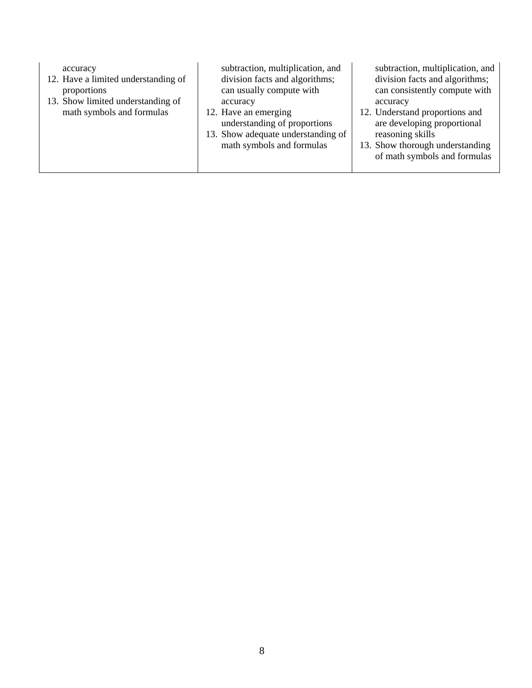| accuracy<br>12. Have a limited understanding of<br>proportions<br>13. Show limited understanding of<br>math symbols and formulas | subtraction, multiplication, and<br>division facts and algorithms;<br>can usually compute with<br>accuracy<br>12. Have an emerging<br>understanding of proportions<br>13. Show adequate understanding of<br>math symbols and formulas | subtraction, multiplication, and<br>division facts and algorithms;<br>can consistently compute with<br>accuracy<br>12. Understand proportions and<br>are developing proportional<br>reasoning skills<br>13. Show thorough understanding<br>of math symbols and formulas |
|----------------------------------------------------------------------------------------------------------------------------------|---------------------------------------------------------------------------------------------------------------------------------------------------------------------------------------------------------------------------------------|-------------------------------------------------------------------------------------------------------------------------------------------------------------------------------------------------------------------------------------------------------------------------|
|                                                                                                                                  |                                                                                                                                                                                                                                       |                                                                                                                                                                                                                                                                         |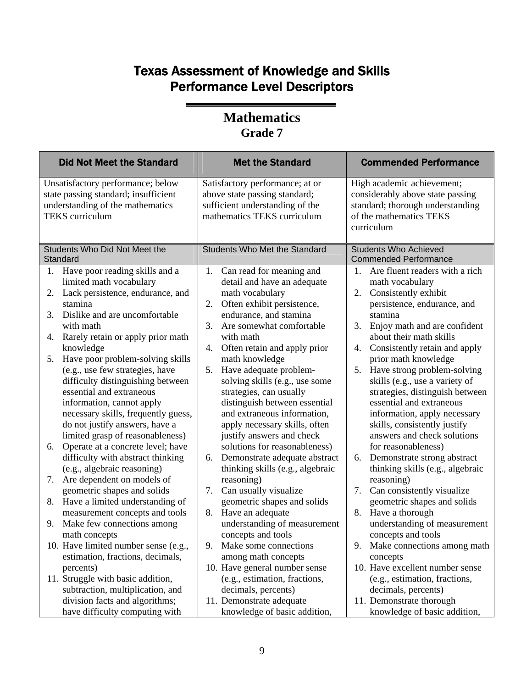| <b>Did Not Meet the Standard</b>                                                                                                                                                                                                                                                                                                                                                                                                                                                                                                                                                                                                                                                                                                                                                                                                                                                | <b>Met the Standard</b>                                                                                                                                                                                                                                                                                                                                                                                                                                                                                                                                                                                                                                                                                                                                                                 | <b>Commended Performance</b>                                                                                                                                                                                                                                                                                                                                                                                                                                                                                                                                                                                                                                                                                                                                                                           |
|---------------------------------------------------------------------------------------------------------------------------------------------------------------------------------------------------------------------------------------------------------------------------------------------------------------------------------------------------------------------------------------------------------------------------------------------------------------------------------------------------------------------------------------------------------------------------------------------------------------------------------------------------------------------------------------------------------------------------------------------------------------------------------------------------------------------------------------------------------------------------------|-----------------------------------------------------------------------------------------------------------------------------------------------------------------------------------------------------------------------------------------------------------------------------------------------------------------------------------------------------------------------------------------------------------------------------------------------------------------------------------------------------------------------------------------------------------------------------------------------------------------------------------------------------------------------------------------------------------------------------------------------------------------------------------------|--------------------------------------------------------------------------------------------------------------------------------------------------------------------------------------------------------------------------------------------------------------------------------------------------------------------------------------------------------------------------------------------------------------------------------------------------------------------------------------------------------------------------------------------------------------------------------------------------------------------------------------------------------------------------------------------------------------------------------------------------------------------------------------------------------|
| Unsatisfactory performance; below<br>state passing standard; insufficient<br>understanding of the mathematics<br><b>TEKS</b> curriculum                                                                                                                                                                                                                                                                                                                                                                                                                                                                                                                                                                                                                                                                                                                                         | Satisfactory performance; at or<br>above state passing standard;<br>sufficient understanding of the<br>mathematics TEKS curriculum                                                                                                                                                                                                                                                                                                                                                                                                                                                                                                                                                                                                                                                      | High academic achievement;<br>considerably above state passing<br>standard; thorough understanding<br>of the mathematics TEKS<br>curriculum                                                                                                                                                                                                                                                                                                                                                                                                                                                                                                                                                                                                                                                            |
| Students Who Did Not Meet the<br>Standard                                                                                                                                                                                                                                                                                                                                                                                                                                                                                                                                                                                                                                                                                                                                                                                                                                       | Students Who Met the Standard                                                                                                                                                                                                                                                                                                                                                                                                                                                                                                                                                                                                                                                                                                                                                           | <b>Students Who Achieved</b><br><b>Commended Performance</b>                                                                                                                                                                                                                                                                                                                                                                                                                                                                                                                                                                                                                                                                                                                                           |
| 1. Have poor reading skills and a<br>limited math vocabulary<br>Lack persistence, endurance, and<br>2.<br>stamina<br>Dislike and are uncomfortable<br>3.<br>with math<br>Rarely retain or apply prior math<br>4.<br>knowledge<br>Have poor problem-solving skills<br>5.<br>(e.g., use few strategies, have<br>difficulty distinguishing between<br>essential and extraneous<br>information, cannot apply<br>necessary skills, frequently guess,<br>do not justify answers, have a<br>limited grasp of reasonableness)<br>Operate at a concrete level; have<br>6.<br>difficulty with abstract thinking<br>(e.g., algebraic reasoning)<br>Are dependent on models of<br>7.<br>geometric shapes and solids<br>Have a limited understanding of<br>8.<br>measurement concepts and tools<br>Make few connections among<br>9.<br>math concepts<br>10. Have limited number sense (e.g., | Can read for meaning and<br>1.<br>detail and have an adequate<br>math vocabulary<br>Often exhibit persistence,<br>2.<br>endurance, and stamina<br>Are somewhat comfortable<br>3.<br>with math<br>Often retain and apply prior<br>4.<br>math knowledge<br>Have adequate problem-<br>5.<br>solving skills (e.g., use some<br>strategies, can usually<br>distinguish between essential<br>and extraneous information,<br>apply necessary skills, often<br>justify answers and check<br>solutions for reasonableness)<br>Demonstrate adequate abstract<br>6.<br>thinking skills (e.g., algebraic<br>reasoning)<br>Can usually visualize<br>7.<br>geometric shapes and solids<br>Have an adequate<br>8.<br>understanding of measurement<br>concepts and tools<br>9.<br>Make some connections | 1.<br>Are fluent readers with a rich<br>math vocabulary<br>Consistently exhibit<br>2.<br>persistence, endurance, and<br>stamina<br>3.<br>Enjoy math and are confident<br>about their math skills<br>Consistently retain and apply<br>4.<br>prior math knowledge<br>5.<br>Have strong problem-solving<br>skills (e.g., use a variety of<br>strategies, distinguish between<br>essential and extraneous<br>information, apply necessary<br>skills, consistently justify<br>answers and check solutions<br>for reasonableness)<br>Demonstrate strong abstract<br>6.<br>thinking skills (e.g., algebraic<br>reasoning)<br>Can consistently visualize<br>7.<br>geometric shapes and solids<br>8.<br>Have a thorough<br>understanding of measurement<br>concepts and tools<br>9. Make connections among math |
| estimation, fractions, decimals,<br>percents)<br>11. Struggle with basic addition,<br>subtraction, multiplication, and                                                                                                                                                                                                                                                                                                                                                                                                                                                                                                                                                                                                                                                                                                                                                          | among math concepts<br>10. Have general number sense<br>(e.g., estimation, fractions,<br>decimals, percents)                                                                                                                                                                                                                                                                                                                                                                                                                                                                                                                                                                                                                                                                            | concepts<br>10. Have excellent number sense<br>(e.g., estimation, fractions,<br>decimals, percents)                                                                                                                                                                                                                                                                                                                                                                                                                                                                                                                                                                                                                                                                                                    |
| division facts and algorithms;<br>have difficulty computing with                                                                                                                                                                                                                                                                                                                                                                                                                                                                                                                                                                                                                                                                                                                                                                                                                | 11. Demonstrate adequate<br>knowledge of basic addition,                                                                                                                                                                                                                                                                                                                                                                                                                                                                                                                                                                                                                                                                                                                                | 11. Demonstrate thorough<br>knowledge of basic addition,                                                                                                                                                                                                                                                                                                                                                                                                                                                                                                                                                                                                                                                                                                                                               |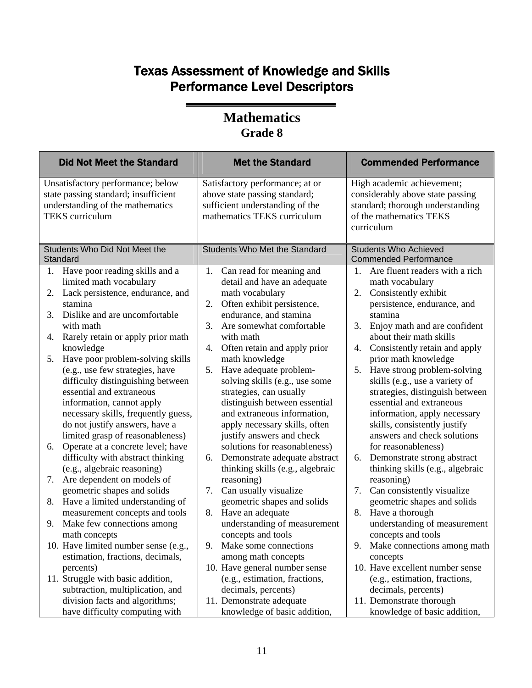| <b>Did Not Meet the Standard</b>                                                                                                                                                                                                                                                                                                                                                                                                                                                                                                                                                                                                                                                                           | <b>Met the Standard</b>                                                                                                                                                                                                                                                                                                                                                                                                                                                                                                                                                                                                                   | <b>Commended Performance</b>                                                                                                                                                                                                                                                                                                                                                                                                                                                                                                                                                                                                                           |
|------------------------------------------------------------------------------------------------------------------------------------------------------------------------------------------------------------------------------------------------------------------------------------------------------------------------------------------------------------------------------------------------------------------------------------------------------------------------------------------------------------------------------------------------------------------------------------------------------------------------------------------------------------------------------------------------------------|-------------------------------------------------------------------------------------------------------------------------------------------------------------------------------------------------------------------------------------------------------------------------------------------------------------------------------------------------------------------------------------------------------------------------------------------------------------------------------------------------------------------------------------------------------------------------------------------------------------------------------------------|--------------------------------------------------------------------------------------------------------------------------------------------------------------------------------------------------------------------------------------------------------------------------------------------------------------------------------------------------------------------------------------------------------------------------------------------------------------------------------------------------------------------------------------------------------------------------------------------------------------------------------------------------------|
| Unsatisfactory performance; below<br>state passing standard; insufficient<br>understanding of the mathematics<br><b>TEKS</b> curriculum                                                                                                                                                                                                                                                                                                                                                                                                                                                                                                                                                                    | Satisfactory performance; at or<br>above state passing standard;<br>sufficient understanding of the<br>mathematics TEKS curriculum                                                                                                                                                                                                                                                                                                                                                                                                                                                                                                        | High academic achievement;<br>considerably above state passing<br>standard; thorough understanding<br>of the mathematics TEKS<br>curriculum                                                                                                                                                                                                                                                                                                                                                                                                                                                                                                            |
| Students Who Did Not Meet the<br>Standard                                                                                                                                                                                                                                                                                                                                                                                                                                                                                                                                                                                                                                                                  | <b>Students Who Met the Standard</b>                                                                                                                                                                                                                                                                                                                                                                                                                                                                                                                                                                                                      | <b>Students Who Achieved</b><br><b>Commended Performance</b>                                                                                                                                                                                                                                                                                                                                                                                                                                                                                                                                                                                           |
| Have poor reading skills and a<br>1.<br>limited math vocabulary<br>Lack persistence, endurance, and<br>2.<br>stamina<br>Dislike and are uncomfortable<br>3.<br>with math<br>Rarely retain or apply prior math<br>4.<br>knowledge<br>Have poor problem-solving skills<br>5.<br>(e.g., use few strategies, have<br>difficulty distinguishing between<br>essential and extraneous<br>information, cannot apply<br>necessary skills, frequently guess,<br>do not justify answers, have a<br>limited grasp of reasonableness)<br>Operate at a concrete level; have<br>6.<br>difficulty with abstract thinking<br>(e.g., algebraic reasoning)<br>Are dependent on models of<br>7.<br>geometric shapes and solids | Can read for meaning and<br>1.<br>detail and have an adequate<br>math vocabulary<br>Often exhibit persistence,<br>2.<br>endurance, and stamina<br>Are somewhat comfortable<br>3.<br>with math<br>Often retain and apply prior<br>4.<br>math knowledge<br>Have adequate problem-<br>5.<br>solving skills (e.g., use some<br>strategies, can usually<br>distinguish between essential<br>and extraneous information,<br>apply necessary skills, often<br>justify answers and check<br>solutions for reasonableness)<br>Demonstrate adequate abstract<br>6.<br>thinking skills (e.g., algebraic<br>reasoning)<br>Can usually visualize<br>7. | Are fluent readers with a rich<br>1.<br>math vocabulary<br>Consistently exhibit<br>2.<br>persistence, endurance, and<br>stamina<br>3.<br>Enjoy math and are confident<br>about their math skills<br>Consistently retain and apply<br>4.<br>prior math knowledge<br>5.<br>Have strong problem-solving<br>skills (e.g., use a variety of<br>strategies, distinguish between<br>essential and extraneous<br>information, apply necessary<br>skills, consistently justify<br>answers and check solutions<br>for reasonableness)<br>Demonstrate strong abstract<br>6.<br>thinking skills (e.g., algebraic<br>reasoning)<br>Can consistently visualize<br>7. |
| Have a limited understanding of<br>8.                                                                                                                                                                                                                                                                                                                                                                                                                                                                                                                                                                                                                                                                      | geometric shapes and solids                                                                                                                                                                                                                                                                                                                                                                                                                                                                                                                                                                                                               | geometric shapes and solids                                                                                                                                                                                                                                                                                                                                                                                                                                                                                                                                                                                                                            |
| measurement concepts and tools<br>Make few connections among<br>9.<br>math concepts<br>10. Have limited number sense (e.g.,                                                                                                                                                                                                                                                                                                                                                                                                                                                                                                                                                                                | Have an adequate<br>8.<br>understanding of measurement<br>concepts and tools<br>9. Make some connections                                                                                                                                                                                                                                                                                                                                                                                                                                                                                                                                  | 8.<br>Have a thorough<br>understanding of measurement<br>concepts and tools<br>9. Make connections among math                                                                                                                                                                                                                                                                                                                                                                                                                                                                                                                                          |
| estimation, fractions, decimals,<br>percents)<br>11. Struggle with basic addition,<br>subtraction, multiplication, and<br>division facts and algorithms;<br>have difficulty computing with                                                                                                                                                                                                                                                                                                                                                                                                                                                                                                                 | among math concepts<br>10. Have general number sense<br>(e.g., estimation, fractions,<br>decimals, percents)<br>11. Demonstrate adequate<br>knowledge of basic addition,                                                                                                                                                                                                                                                                                                                                                                                                                                                                  | concepts<br>10. Have excellent number sense<br>(e.g., estimation, fractions,<br>decimals, percents)<br>11. Demonstrate thorough<br>knowledge of basic addition,                                                                                                                                                                                                                                                                                                                                                                                                                                                                                        |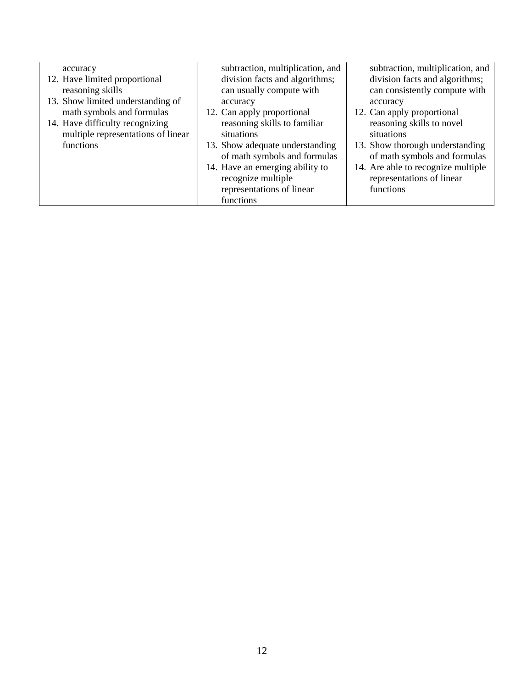| accuracy<br>12. Have limited proportional<br>reasoning skills<br>13. Show limited understanding of<br>math symbols and formulas<br>14. Have difficulty recognizing<br>multiple representations of linear<br>functions | subtraction, multiplication, and<br>division facts and algorithms;<br>can usually compute with<br>accuracy<br>12. Can apply proportional<br>reasoning skills to familiar<br>situations<br>13. Show adequate understanding<br>of math symbols and formulas<br>14. Have an emerging ability to<br>recognize multiple<br>representations of linear<br>functions | subtraction, multiplication, and<br>division facts and algorithms;<br>can consistently compute with<br>accuracy<br>12. Can apply proportional<br>reasoning skills to novel<br>situations<br>13. Show thorough understanding<br>of math symbols and formulas<br>14. Are able to recognize multiple<br>representations of linear<br>functions |
|-----------------------------------------------------------------------------------------------------------------------------------------------------------------------------------------------------------------------|--------------------------------------------------------------------------------------------------------------------------------------------------------------------------------------------------------------------------------------------------------------------------------------------------------------------------------------------------------------|---------------------------------------------------------------------------------------------------------------------------------------------------------------------------------------------------------------------------------------------------------------------------------------------------------------------------------------------|
|-----------------------------------------------------------------------------------------------------------------------------------------------------------------------------------------------------------------------|--------------------------------------------------------------------------------------------------------------------------------------------------------------------------------------------------------------------------------------------------------------------------------------------------------------------------------------------------------------|---------------------------------------------------------------------------------------------------------------------------------------------------------------------------------------------------------------------------------------------------------------------------------------------------------------------------------------------|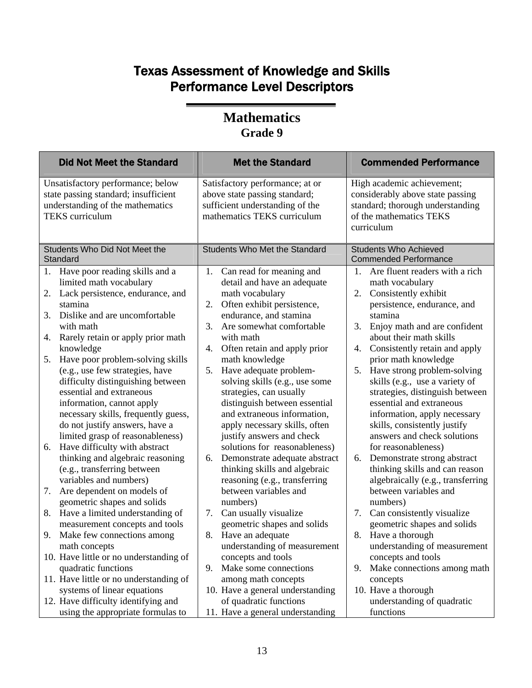| <b>Did Not Meet the Standard</b>                                                                                                                                                                                                                                                                                                                                                                                                                                                                                         | <b>Met the Standard</b>                                                                                                                                                                                                                                                                                                                                                                                                                                                          | <b>Commended Performance</b>                                                                                                                                                                                                                                                                                                                                                                                                                                                                         |
|--------------------------------------------------------------------------------------------------------------------------------------------------------------------------------------------------------------------------------------------------------------------------------------------------------------------------------------------------------------------------------------------------------------------------------------------------------------------------------------------------------------------------|----------------------------------------------------------------------------------------------------------------------------------------------------------------------------------------------------------------------------------------------------------------------------------------------------------------------------------------------------------------------------------------------------------------------------------------------------------------------------------|------------------------------------------------------------------------------------------------------------------------------------------------------------------------------------------------------------------------------------------------------------------------------------------------------------------------------------------------------------------------------------------------------------------------------------------------------------------------------------------------------|
| Unsatisfactory performance; below<br>state passing standard; insufficient<br>understanding of the mathematics<br><b>TEKS</b> curriculum                                                                                                                                                                                                                                                                                                                                                                                  | Satisfactory performance; at or<br>above state passing standard;<br>sufficient understanding of the<br>mathematics TEKS curriculum                                                                                                                                                                                                                                                                                                                                               | High academic achievement;<br>considerably above state passing<br>standard; thorough understanding<br>of the mathematics TEKS<br>curriculum                                                                                                                                                                                                                                                                                                                                                          |
| Students Who Did Not Meet the<br>Standard                                                                                                                                                                                                                                                                                                                                                                                                                                                                                | <b>Students Who Met the Standard</b>                                                                                                                                                                                                                                                                                                                                                                                                                                             | <b>Students Who Achieved</b><br><b>Commended Performance</b>                                                                                                                                                                                                                                                                                                                                                                                                                                         |
| Have poor reading skills and a<br>1.<br>limited math vocabulary<br>Lack persistence, endurance, and<br>2.<br>stamina<br>Dislike and are uncomfortable<br>3.<br>with math<br>Rarely retain or apply prior math<br>4.<br>knowledge<br>Have poor problem-solving skills<br>5.<br>(e.g., use few strategies, have<br>difficulty distinguishing between<br>essential and extraneous<br>information, cannot apply<br>necessary skills, frequently guess,<br>do not justify answers, have a<br>limited grasp of reasonableness) | Can read for meaning and<br>1.<br>detail and have an adequate<br>math vocabulary<br>Often exhibit persistence,<br>2.<br>endurance, and stamina<br>Are somewhat comfortable<br>3.<br>with math<br>Often retain and apply prior<br>4.<br>math knowledge<br>Have adequate problem-<br>5.<br>solving skills (e.g., use some<br>strategies, can usually<br>distinguish between essential<br>and extraneous information,<br>apply necessary skills, often<br>justify answers and check | Are fluent readers with a rich<br>1.<br>math vocabulary<br>2.<br>Consistently exhibit<br>persistence, endurance, and<br>stamina<br>3.<br>Enjoy math and are confident<br>about their math skills<br>Consistently retain and apply<br>4.<br>prior math knowledge<br>5.<br>Have strong problem-solving<br>skills (e.g., use a variety of<br>strategies, distinguish between<br>essential and extraneous<br>information, apply necessary<br>skills, consistently justify<br>answers and check solutions |
| Have difficulty with abstract<br>6.<br>thinking and algebraic reasoning<br>(e.g., transferring between<br>variables and numbers)<br>Are dependent on models of<br>7.                                                                                                                                                                                                                                                                                                                                                     | solutions for reasonableness)<br>Demonstrate adequate abstract<br>6.<br>thinking skills and algebraic<br>reasoning (e.g., transferring<br>between variables and                                                                                                                                                                                                                                                                                                                  | for reasonableness)<br>Demonstrate strong abstract<br>6.<br>thinking skills and can reason<br>algebraically (e.g., transferring<br>between variables and                                                                                                                                                                                                                                                                                                                                             |
| geometric shapes and solids<br>Have a limited understanding of<br>8.<br>measurement concepts and tools                                                                                                                                                                                                                                                                                                                                                                                                                   | numbers)<br>Can usually visualize<br>7.<br>geometric shapes and solids                                                                                                                                                                                                                                                                                                                                                                                                           | numbers)<br>7.<br>Can consistently visualize<br>geometric shapes and solids                                                                                                                                                                                                                                                                                                                                                                                                                          |
| 9.<br>Make few connections among<br>math concepts<br>10. Have little or no understanding of                                                                                                                                                                                                                                                                                                                                                                                                                              | 8. Have an adequate<br>understanding of measurement<br>concepts and tools                                                                                                                                                                                                                                                                                                                                                                                                        | 8.<br>Have a thorough<br>understanding of measurement<br>concepts and tools                                                                                                                                                                                                                                                                                                                                                                                                                          |
| quadratic functions<br>11. Have little or no understanding of<br>systems of linear equations<br>12. Have difficulty identifying and                                                                                                                                                                                                                                                                                                                                                                                      | Make some connections<br>9.<br>among math concepts<br>10. Have a general understanding<br>of quadratic functions                                                                                                                                                                                                                                                                                                                                                                 | Make connections among math<br>9.<br>concepts<br>10. Have a thorough<br>understanding of quadratic                                                                                                                                                                                                                                                                                                                                                                                                   |
| using the appropriate formulas to                                                                                                                                                                                                                                                                                                                                                                                                                                                                                        | 11. Have a general understanding                                                                                                                                                                                                                                                                                                                                                                                                                                                 | functions                                                                                                                                                                                                                                                                                                                                                                                                                                                                                            |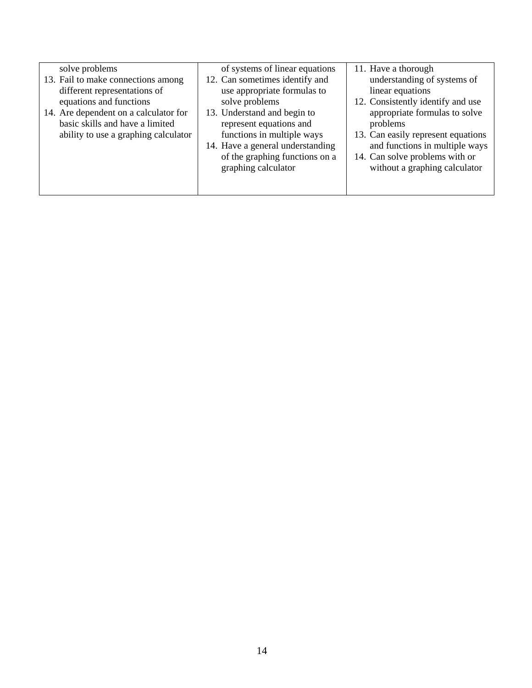| solve problems                                                                                                                         | of systems of linear equations                                                                                                                     | 11. Have a thorough                                                                                                                                 |
|----------------------------------------------------------------------------------------------------------------------------------------|----------------------------------------------------------------------------------------------------------------------------------------------------|-----------------------------------------------------------------------------------------------------------------------------------------------------|
| 13. Fail to make connections among<br>different representations of<br>equations and functions<br>14. Are dependent on a calculator for | 12. Can sometimes identify and<br>use appropriate formulas to<br>solve problems<br>13. Understand and begin to                                     | understanding of systems of<br>linear equations<br>12. Consistently identify and use<br>appropriate formulas to solve                               |
| basic skills and have a limited<br>ability to use a graphing calculator                                                                | represent equations and<br>functions in multiple ways<br>14. Have a general understanding<br>of the graphing functions on a<br>graphing calculator | problems<br>13. Can easily represent equations<br>and functions in multiple ways<br>14. Can solve problems with or<br>without a graphing calculator |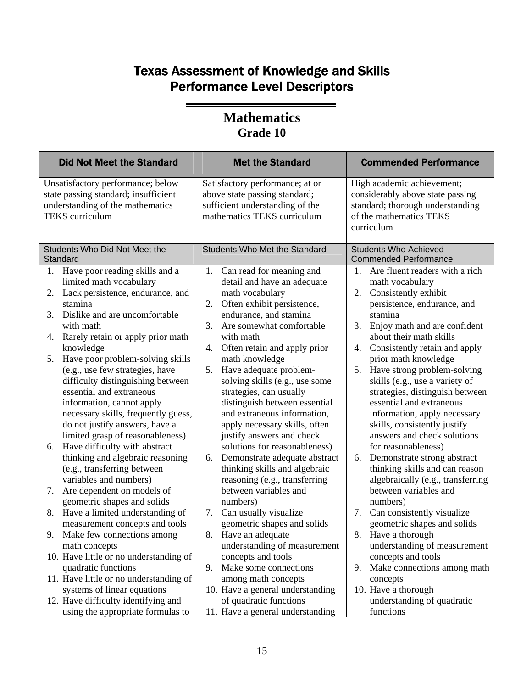| <b>Did Not Meet the Standard</b>                                                                                                                                                                                                                                                                                            | <b>Met the Standard</b>                                                                                                                                                                                                                                                    | <b>Commended Performance</b>                                                                                                                                                                                                                                                     |
|-----------------------------------------------------------------------------------------------------------------------------------------------------------------------------------------------------------------------------------------------------------------------------------------------------------------------------|----------------------------------------------------------------------------------------------------------------------------------------------------------------------------------------------------------------------------------------------------------------------------|----------------------------------------------------------------------------------------------------------------------------------------------------------------------------------------------------------------------------------------------------------------------------------|
| Unsatisfactory performance; below<br>state passing standard; insufficient<br>understanding of the mathematics<br><b>TEKS</b> curriculum                                                                                                                                                                                     | Satisfactory performance; at or<br>above state passing standard;<br>sufficient understanding of the<br>mathematics TEKS curriculum                                                                                                                                         | High academic achievement;<br>considerably above state passing<br>standard; thorough understanding<br>of the mathematics TEKS<br>curriculum                                                                                                                                      |
| Students Who Did Not Meet the<br>Standard                                                                                                                                                                                                                                                                                   | Students Who Met the Standard                                                                                                                                                                                                                                              | <b>Students Who Achieved</b><br><b>Commended Performance</b>                                                                                                                                                                                                                     |
| Have poor reading skills and a                                                                                                                                                                                                                                                                                              | Can read for meaning and                                                                                                                                                                                                                                                   | Are fluent readers with a rich                                                                                                                                                                                                                                                   |
| 1.                                                                                                                                                                                                                                                                                                                          | 1.                                                                                                                                                                                                                                                                         | 1.                                                                                                                                                                                                                                                                               |
| limited math vocabulary                                                                                                                                                                                                                                                                                                     | detail and have an adequate                                                                                                                                                                                                                                                | math vocabulary                                                                                                                                                                                                                                                                  |
| Lack persistence, endurance, and                                                                                                                                                                                                                                                                                            | math vocabulary                                                                                                                                                                                                                                                            | Consistently exhibit                                                                                                                                                                                                                                                             |
| 2.                                                                                                                                                                                                                                                                                                                          | Often exhibit persistence,                                                                                                                                                                                                                                                 | 2.                                                                                                                                                                                                                                                                               |
| stamina                                                                                                                                                                                                                                                                                                                     | 2.                                                                                                                                                                                                                                                                         | persistence, endurance, and                                                                                                                                                                                                                                                      |
| 3.                                                                                                                                                                                                                                                                                                                          | endurance, and stamina                                                                                                                                                                                                                                                     | stamina                                                                                                                                                                                                                                                                          |
| Dislike and are uncomfortable                                                                                                                                                                                                                                                                                               | Are somewhat comfortable                                                                                                                                                                                                                                                   | 3.                                                                                                                                                                                                                                                                               |
| with math                                                                                                                                                                                                                                                                                                                   | 3.                                                                                                                                                                                                                                                                         | Enjoy math and are confident                                                                                                                                                                                                                                                     |
| Rarely retain or apply prior math                                                                                                                                                                                                                                                                                           | with math                                                                                                                                                                                                                                                                  | about their math skills                                                                                                                                                                                                                                                          |
| 4.                                                                                                                                                                                                                                                                                                                          | Often retain and apply prior                                                                                                                                                                                                                                               | Consistently retain and apply                                                                                                                                                                                                                                                    |
| knowledge                                                                                                                                                                                                                                                                                                                   | 4.                                                                                                                                                                                                                                                                         | 4.                                                                                                                                                                                                                                                                               |
| Have poor problem-solving skills<br>5.<br>(e.g., use few strategies, have<br>difficulty distinguishing between<br>essential and extraneous<br>information, cannot apply<br>necessary skills, frequently guess,<br>do not justify answers, have a<br>limited grasp of reasonableness)<br>Have difficulty with abstract<br>6. | math knowledge<br>Have adequate problem-<br>5.<br>solving skills (e.g., use some<br>strategies, can usually<br>distinguish between essential<br>and extraneous information,<br>apply necessary skills, often<br>justify answers and check<br>solutions for reasonableness) | prior math knowledge<br>Have strong problem-solving<br>5.<br>skills (e.g., use a variety of<br>strategies, distinguish between<br>essential and extraneous<br>information, apply necessary<br>skills, consistently justify<br>answers and check solutions<br>for reasonableness) |
| thinking and algebraic reasoning<br>(e.g., transferring between<br>variables and numbers)                                                                                                                                                                                                                                   | Demonstrate adequate abstract<br>6.<br>thinking skills and algebraic<br>reasoning (e.g., transferring                                                                                                                                                                      | Demonstrate strong abstract<br>6.<br>thinking skills and can reason<br>algebraically (e.g., transferring                                                                                                                                                                         |
| Are dependent on models of<br>7.<br>geometric shapes and solids                                                                                                                                                                                                                                                             | between variables and<br>numbers)                                                                                                                                                                                                                                          | between variables and<br>numbers)                                                                                                                                                                                                                                                |
| Have a limited understanding of                                                                                                                                                                                                                                                                                             | Can usually visualize                                                                                                                                                                                                                                                      | 7.                                                                                                                                                                                                                                                                               |
| 8.                                                                                                                                                                                                                                                                                                                          | 7.                                                                                                                                                                                                                                                                         | Can consistently visualize                                                                                                                                                                                                                                                       |
| measurement concepts and tools                                                                                                                                                                                                                                                                                              | geometric shapes and solids                                                                                                                                                                                                                                                | geometric shapes and solids                                                                                                                                                                                                                                                      |
| Make few connections among                                                                                                                                                                                                                                                                                                  | Have an adequate                                                                                                                                                                                                                                                           | 8.                                                                                                                                                                                                                                                                               |
| 9.                                                                                                                                                                                                                                                                                                                          | 8.                                                                                                                                                                                                                                                                         | Have a thorough                                                                                                                                                                                                                                                                  |
| math concepts                                                                                                                                                                                                                                                                                                               | understanding of measurement                                                                                                                                                                                                                                               | understanding of measurement                                                                                                                                                                                                                                                     |
| 10. Have little or no understanding of<br>quadratic functions                                                                                                                                                                                                                                                               | concepts and tools<br>Make some connections<br>9.                                                                                                                                                                                                                          | concepts and tools<br>Make connections among math<br>9.                                                                                                                                                                                                                          |
| 11. Have little or no understanding of                                                                                                                                                                                                                                                                                      | among math concepts                                                                                                                                                                                                                                                        | concepts                                                                                                                                                                                                                                                                         |
| systems of linear equations                                                                                                                                                                                                                                                                                                 | 10. Have a general understanding                                                                                                                                                                                                                                           | 10. Have a thorough                                                                                                                                                                                                                                                              |
| 12. Have difficulty identifying and                                                                                                                                                                                                                                                                                         | of quadratic functions                                                                                                                                                                                                                                                     | understanding of quadratic                                                                                                                                                                                                                                                       |
| using the appropriate formulas to                                                                                                                                                                                                                                                                                           | 11. Have a general understanding                                                                                                                                                                                                                                           | functions                                                                                                                                                                                                                                                                        |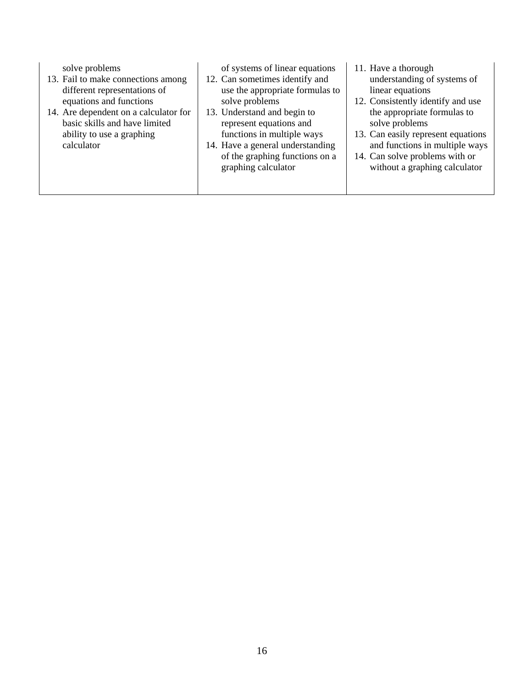| solve problems<br>13. Fail to make connections among<br>different representations of<br>equations and functions<br>14. Are dependent on a calculator for<br>basic skills and have limited<br>ability to use a graphing<br>calculator | of systems of linear equations<br>12. Can sometimes identify and<br>use the appropriate formulas to<br>solve problems<br>13. Understand and begin to<br>represent equations and<br>functions in multiple ways<br>14. Have a general understanding<br>of the graphing functions on a<br>graphing calculator | 11. Have a thorough<br>understanding of systems of<br>linear equations<br>12. Consistently identify and use<br>the appropriate formulas to<br>solve problems<br>13. Can easily represent equations<br>and functions in multiple ways<br>14. Can solve problems with or<br>without a graphing calculator |
|--------------------------------------------------------------------------------------------------------------------------------------------------------------------------------------------------------------------------------------|------------------------------------------------------------------------------------------------------------------------------------------------------------------------------------------------------------------------------------------------------------------------------------------------------------|---------------------------------------------------------------------------------------------------------------------------------------------------------------------------------------------------------------------------------------------------------------------------------------------------------|
|--------------------------------------------------------------------------------------------------------------------------------------------------------------------------------------------------------------------------------------|------------------------------------------------------------------------------------------------------------------------------------------------------------------------------------------------------------------------------------------------------------------------------------------------------------|---------------------------------------------------------------------------------------------------------------------------------------------------------------------------------------------------------------------------------------------------------------------------------------------------------|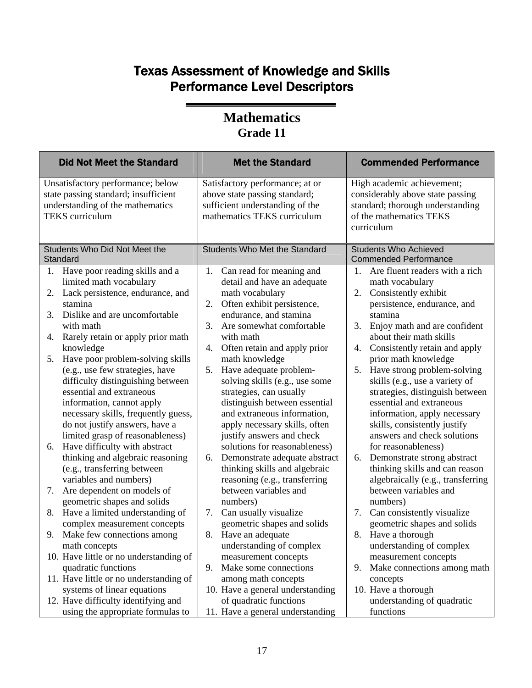| <b>Did Not Meet the Standard</b>                                                                                                                                                                                                                                                                                                                                                                                         | <b>Met the Standard</b>                                                                                                                                                                                                                                                                                                                                                             | <b>Commended Performance</b>                                                                                                                                                                                                                                                                                                                                                                 |
|--------------------------------------------------------------------------------------------------------------------------------------------------------------------------------------------------------------------------------------------------------------------------------------------------------------------------------------------------------------------------------------------------------------------------|-------------------------------------------------------------------------------------------------------------------------------------------------------------------------------------------------------------------------------------------------------------------------------------------------------------------------------------------------------------------------------------|----------------------------------------------------------------------------------------------------------------------------------------------------------------------------------------------------------------------------------------------------------------------------------------------------------------------------------------------------------------------------------------------|
| Unsatisfactory performance; below<br>state passing standard; insufficient<br>understanding of the mathematics<br><b>TEKS</b> curriculum                                                                                                                                                                                                                                                                                  | Satisfactory performance; at or<br>above state passing standard;<br>sufficient understanding of the<br>mathematics TEKS curriculum                                                                                                                                                                                                                                                  | High academic achievement;<br>considerably above state passing<br>standard; thorough understanding<br>of the mathematics TEKS<br>curriculum                                                                                                                                                                                                                                                  |
| Students Who Did Not Meet the<br>Standard                                                                                                                                                                                                                                                                                                                                                                                | Students Who Met the Standard                                                                                                                                                                                                                                                                                                                                                       | <b>Students Who Achieved</b><br><b>Commended Performance</b>                                                                                                                                                                                                                                                                                                                                 |
| Have poor reading skills and a<br>1.<br>limited math vocabulary<br>Lack persistence, endurance, and<br>2.<br>stamina<br>3.<br>Dislike and are uncomfortable                                                                                                                                                                                                                                                              | Can read for meaning and<br>1.<br>detail and have an adequate<br>math vocabulary<br>Often exhibit persistence,<br>2.<br>endurance, and stamina                                                                                                                                                                                                                                      | Are fluent readers with a rich<br>1.<br>math vocabulary<br>Consistently exhibit<br>2.<br>persistence, endurance, and<br>stamina                                                                                                                                                                                                                                                              |
| with math<br>Rarely retain or apply prior math<br>4.<br>knowledge                                                                                                                                                                                                                                                                                                                                                        | Are somewhat comfortable<br>3.<br>with math<br>Often retain and apply prior<br>4.                                                                                                                                                                                                                                                                                                   | 3.<br>Enjoy math and are confident<br>about their math skills<br>Consistently retain and apply<br>4.                                                                                                                                                                                                                                                                                         |
| Have poor problem-solving skills<br>5.<br>(e.g., use few strategies, have<br>difficulty distinguishing between<br>essential and extraneous<br>information, cannot apply<br>necessary skills, frequently guess,<br>do not justify answers, have a<br>limited grasp of reasonableness)<br>Have difficulty with abstract<br>6.<br>thinking and algebraic reasoning<br>(e.g., transferring between<br>variables and numbers) | math knowledge<br>Have adequate problem-<br>5.<br>solving skills (e.g., use some<br>strategies, can usually<br>distinguish between essential<br>and extraneous information,<br>apply necessary skills, often<br>justify answers and check<br>solutions for reasonableness)<br>Demonstrate adequate abstract<br>6.<br>thinking skills and algebraic<br>reasoning (e.g., transferring | prior math knowledge<br>5.<br>Have strong problem-solving<br>skills (e.g., use a variety of<br>strategies, distinguish between<br>essential and extraneous<br>information, apply necessary<br>skills, consistently justify<br>answers and check solutions<br>for reasonableness)<br>Demonstrate strong abstract<br>6.<br>thinking skills and can reason<br>algebraically (e.g., transferring |
| Are dependent on models of<br>7.<br>geometric shapes and solids                                                                                                                                                                                                                                                                                                                                                          | between variables and<br>numbers)                                                                                                                                                                                                                                                                                                                                                   | between variables and<br>numbers)                                                                                                                                                                                                                                                                                                                                                            |
| 8.<br>Have a limited understanding of<br>complex measurement concepts                                                                                                                                                                                                                                                                                                                                                    | Can usually visualize<br>7.<br>geometric shapes and solids                                                                                                                                                                                                                                                                                                                          | 7.<br>Can consistently visualize<br>geometric shapes and solids                                                                                                                                                                                                                                                                                                                              |
| 9.<br>Make few connections among<br>math concepts                                                                                                                                                                                                                                                                                                                                                                        | Have an adequate<br>8.<br>understanding of complex                                                                                                                                                                                                                                                                                                                                  | 8.<br>Have a thorough<br>understanding of complex                                                                                                                                                                                                                                                                                                                                            |
| 10. Have little or no understanding of<br>quadratic functions                                                                                                                                                                                                                                                                                                                                                            | measurement concepts<br>Make some connections<br>9.                                                                                                                                                                                                                                                                                                                                 | measurement concepts<br>Make connections among math<br>9.                                                                                                                                                                                                                                                                                                                                    |
| 11. Have little or no understanding of<br>systems of linear equations                                                                                                                                                                                                                                                                                                                                                    | among math concepts<br>10. Have a general understanding                                                                                                                                                                                                                                                                                                                             | concepts<br>10. Have a thorough                                                                                                                                                                                                                                                                                                                                                              |
| 12. Have difficulty identifying and<br>using the appropriate formulas to                                                                                                                                                                                                                                                                                                                                                 | of quadratic functions<br>11. Have a general understanding                                                                                                                                                                                                                                                                                                                          | understanding of quadratic<br>functions                                                                                                                                                                                                                                                                                                                                                      |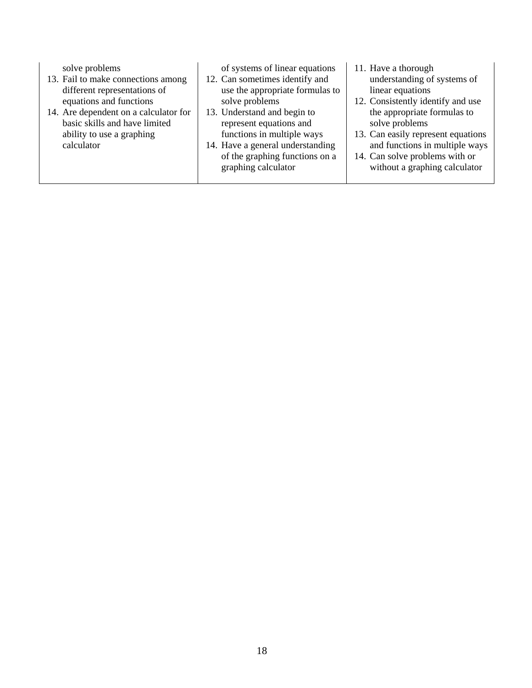solve problems

- 13. Fail to make connections among different representations of equations and functions
- 14. Are dependent on a calculator for basic skills and have limited ability to use a graphing calculator

of systems of linear equations

- 12. Can sometimes identify and use the appropriate formulas to solve problems
- 13. Understand and begin to represent equations and functions in multiple ways
- 14. Have a general understanding of the graphing functions on a graphing calculator
- 11. Have a thorough understanding of systems of linear equations
- 12. Consistently identify and use the appropriate formulas to solve problems
- 13. Can easily represent equations and functions in multiple ways
- 14. Can solve problems with or without a graphing calculator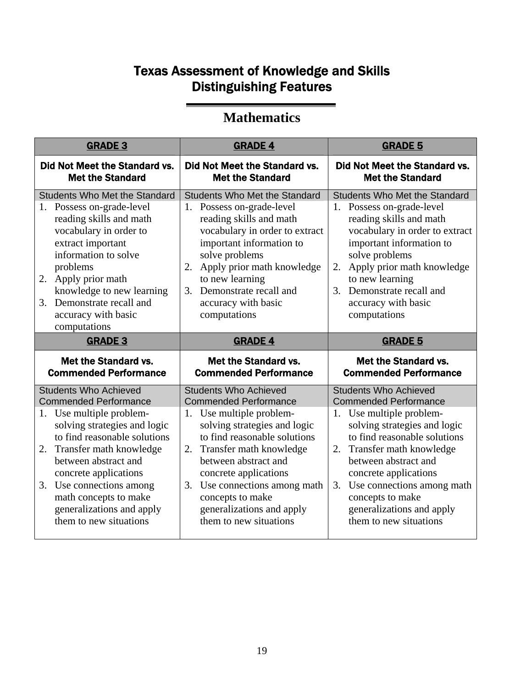# Texas Assessment of Knowledge and Skills Distinguishing Features

### **Mathematics**

| <b>GRADE 3</b>                                                                                                                                                                                                                                                                                                               | <b>GRADE 4</b>                                                                                                                                                                                                                                                                                                | <b>GRADE 5</b>                                                                                                                                                                                                                                                                                          |
|------------------------------------------------------------------------------------------------------------------------------------------------------------------------------------------------------------------------------------------------------------------------------------------------------------------------------|---------------------------------------------------------------------------------------------------------------------------------------------------------------------------------------------------------------------------------------------------------------------------------------------------------------|---------------------------------------------------------------------------------------------------------------------------------------------------------------------------------------------------------------------------------------------------------------------------------------------------------|
| Did Not Meet the Standard vs.<br><b>Met the Standard</b>                                                                                                                                                                                                                                                                     | Did Not Meet the Standard vs.<br><b>Met the Standard</b>                                                                                                                                                                                                                                                      | <b>Did Not Meet the Standard vs.</b><br><b>Met the Standard</b>                                                                                                                                                                                                                                         |
| <b>Students Who Met the Standard</b><br>1. Possess on-grade-level<br>reading skills and math<br>vocabulary in order to<br>extract important<br>information to solve<br>problems<br>2. Apply prior math<br>knowledge to new learning<br>Demonstrate recall and<br>3.<br>accuracy with basic<br>computations                   | <b>Students Who Met the Standard</b><br>Possess on-grade-level<br>1.<br>reading skills and math<br>vocabulary in order to extract<br>important information to<br>solve problems<br>Apply prior math knowledge<br>2.<br>to new learning<br>Demonstrate recall and<br>3.<br>accuracy with basic<br>computations | <b>Students Who Met the Standard</b><br>1. Possess on-grade-level<br>reading skills and math<br>vocabulary in order to extract<br>important information to<br>solve problems<br>Apply prior math knowledge<br>2.<br>to new learning<br>3. Demonstrate recall and<br>accuracy with basic<br>computations |
| <b>GRADE 3</b>                                                                                                                                                                                                                                                                                                               | <b>GRADE 4</b>                                                                                                                                                                                                                                                                                                | <b>GRADE 5</b>                                                                                                                                                                                                                                                                                          |
| <b>Met the Standard vs.</b><br><b>Commended Performance</b>                                                                                                                                                                                                                                                                  | <b>Met the Standard vs.</b><br><b>Commended Performance</b>                                                                                                                                                                                                                                                   | <b>Met the Standard vs.</b><br><b>Commended Performance</b>                                                                                                                                                                                                                                             |
| <b>Students Who Achieved</b><br><b>Commended Performance</b><br>1. Use multiple problem-<br>solving strategies and logic<br>to find reasonable solutions<br>Transfer math knowledge<br>2.<br>between abstract and<br>concrete applications<br>3. Use connections among<br>math concepts to make<br>generalizations and apply | <b>Students Who Achieved</b><br><b>Commended Performance</b><br>1. Use multiple problem-<br>solving strategies and logic<br>to find reasonable solutions<br>Transfer math knowledge<br>2.<br>between abstract and<br>concrete applications<br>Use connections among math<br>3.<br>concepts to make            | <b>Students Who Achieved</b><br><b>Commended Performance</b><br>1. Use multiple problem-<br>solving strategies and logic<br>to find reasonable solutions<br>Transfer math knowledge<br>2.<br>between abstract and<br>concrete applications<br>3. Use connections among math<br>concepts to make         |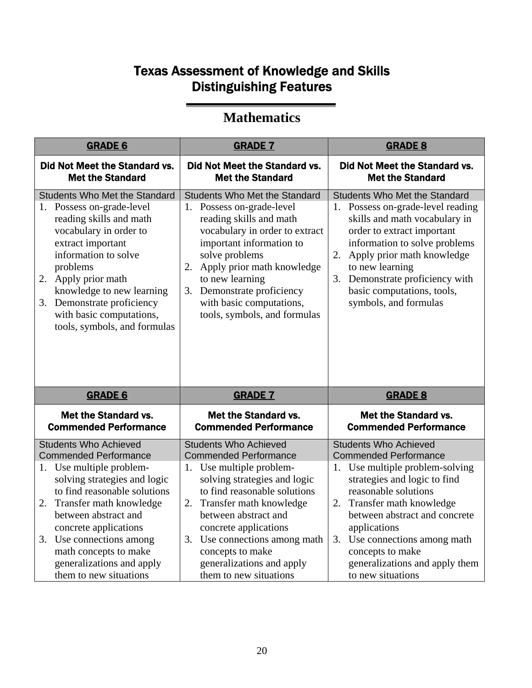# Texas Assessment of Knowledge and Skills Distinguishing Features

### **Mathematics**

| <b>GRADE 6</b>                                                                                                                                                                                                                                                                                                                | <b>GRADE 7</b>                                                                                                                                                                                                                                                                                                                   | <b>GRADE 8</b>                                                                                                                                                                                                                                                                                                                      |
|-------------------------------------------------------------------------------------------------------------------------------------------------------------------------------------------------------------------------------------------------------------------------------------------------------------------------------|----------------------------------------------------------------------------------------------------------------------------------------------------------------------------------------------------------------------------------------------------------------------------------------------------------------------------------|-------------------------------------------------------------------------------------------------------------------------------------------------------------------------------------------------------------------------------------------------------------------------------------------------------------------------------------|
| <b>Did Not Meet the Standard vs.</b><br><b>Met the Standard</b>                                                                                                                                                                                                                                                               | Did Not Meet the Standard vs.<br><b>Met the Standard</b>                                                                                                                                                                                                                                                                         | Did Not Meet the Standard vs.<br><b>Met the Standard</b>                                                                                                                                                                                                                                                                            |
| <b>Students Who Met the Standard</b><br>1. Possess on-grade-level<br>reading skills and math<br>vocabulary in order to<br>extract important<br>information to solve<br>problems<br>2. Apply prior math<br>knowledge to new learning<br>3. Demonstrate proficiency<br>with basic computations,<br>tools, symbols, and formulas | <b>Students Who Met the Standard</b><br>1. Possess on-grade-level<br>reading skills and math<br>vocabulary in order to extract<br>important information to<br>solve problems<br>Apply prior math knowledge<br>2.<br>to new learning<br>Demonstrate proficiency<br>3.<br>with basic computations,<br>tools, symbols, and formulas | Students Who Met the Standard<br>1. Possess on-grade-level reading<br>skills and math vocabulary in<br>order to extract important<br>information to solve problems<br>Apply prior math knowledge<br>2.<br>to new learning<br>3. Demonstrate proficiency with<br>basic computations, tools,<br>symbols, and formulas                 |
| <b>GRADE 6</b>                                                                                                                                                                                                                                                                                                                | <b>GRADE 7</b>                                                                                                                                                                                                                                                                                                                   | <b>GRADE 8</b>                                                                                                                                                                                                                                                                                                                      |
| <b>Met the Standard vs.</b><br><b>Commended Performance</b>                                                                                                                                                                                                                                                                   | Met the Standard vs.<br><b>Commended Performance</b>                                                                                                                                                                                                                                                                             | <b>Met the Standard vs.</b><br><b>Commended Performance</b>                                                                                                                                                                                                                                                                         |
| <b>Students Who Achieved</b><br><b>Commended Performance</b><br>1. Use multiple problem-<br>solving strategies and logic<br>to find reasonable solutions<br>2. Transfer math knowledge<br>between abstract and<br>concrete applications<br>3. Use connections among<br>math concepts to make<br>generalizations and apply     | <b>Students Who Achieved</b><br><b>Commended Performance</b><br>1. Use multiple problem-<br>solving strategies and logic<br>to find reasonable solutions<br>Transfer math knowledge<br>2.<br>between abstract and<br>concrete applications<br>3. Use connections among math<br>concepts to make<br>generalizations and apply     | <b>Students Who Achieved</b><br><b>Commended Performance</b><br>Use multiple problem-solving<br>1.<br>strategies and logic to find<br>reasonable solutions<br>Transfer math knowledge<br>2.<br>between abstract and concrete<br>applications<br>3. Use connections among math<br>concepts to make<br>generalizations and apply them |